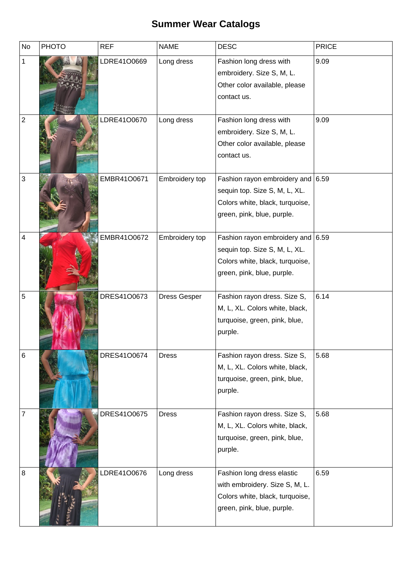## **Summer Wear Catalogs**

| <b>No</b>               | <b>PHOTO</b> | <b>REF</b>  | <b>NAME</b>         | <b>DESC</b>                                                                                                                    | <b>PRICE</b> |
|-------------------------|--------------|-------------|---------------------|--------------------------------------------------------------------------------------------------------------------------------|--------------|
|                         |              | LDRE41O0669 | Long dress          | Fashion long dress with<br>embroidery. Size S, M, L.<br>Other color available, please<br>contact us.                           | 9.09         |
| $\overline{\mathbf{c}}$ |              | LDRE41O0670 | Long dress          | Fashion long dress with<br>embroidery. Size S, M, L.<br>Other color available, please<br>contact us.                           | 9.09         |
| 3                       |              | EMBR41O0671 | Embroidery top      | Fashion rayon embroidery and<br>sequin top. Size S, M, L, XL.<br>Colors white, black, turquoise,<br>green, pink, blue, purple. | 6.59         |
| 4                       |              | EMBR41O0672 | Embroidery top      | Fashion rayon embroidery and<br>sequin top. Size S, M, L, XL.<br>Colors white, black, turquoise,<br>green, pink, blue, purple. | 6.59         |
| 5                       |              | DRES41O0673 | <b>Dress Gesper</b> | Fashion rayon dress. Size S,<br>M, L, XL. Colors white, black,<br>turquoise, green, pink, blue,<br>purple.                     | 6.14         |
| 6                       |              | DRES41O0674 | <b>Dress</b>        | Fashion rayon dress. Size S,<br>M, L, XL. Colors white, black,<br>turquoise, green, pink, blue,<br>purple.                     | 5.68         |
| 7                       |              | DRES41O0675 | <b>Dress</b>        | Fashion rayon dress. Size S,<br>M, L, XL. Colors white, black,<br>turquoise, green, pink, blue,<br>purple.                     | 5.68         |
| 8                       |              | LDRE41O0676 | Long dress          | Fashion long dress elastic<br>with embroidery. Size S, M, L.<br>Colors white, black, turquoise,<br>green, pink, blue, purple.  | 6.59         |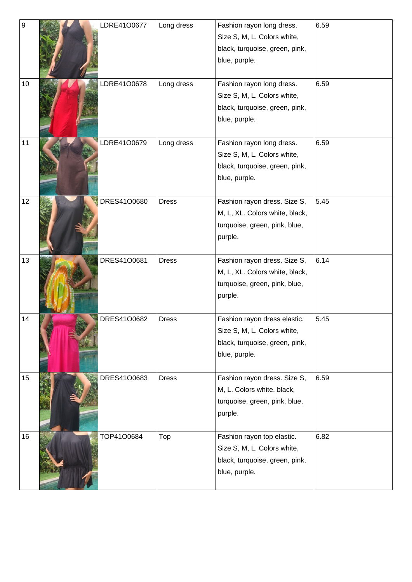| 9  |  | LDRE41O0677 | Long dress   | Fashion rayon long dress.      | 6.59 |
|----|--|-------------|--------------|--------------------------------|------|
|    |  |             |              | Size S, M, L. Colors white,    |      |
|    |  |             |              | black, turquoise, green, pink, |      |
|    |  |             |              | blue, purple.                  |      |
|    |  |             |              |                                |      |
| 10 |  | LDRE41O0678 | Long dress   | Fashion rayon long dress.      | 6.59 |
|    |  |             |              | Size S, M, L. Colors white,    |      |
|    |  |             |              | black, turquoise, green, pink, |      |
|    |  |             |              | blue, purple.                  |      |
|    |  |             |              |                                |      |
| 11 |  | LDRE41O0679 | Long dress   | Fashion rayon long dress.      | 6.59 |
|    |  |             |              | Size S, M, L. Colors white,    |      |
|    |  |             |              | black, turquoise, green, pink, |      |
|    |  |             |              | blue, purple.                  |      |
| 12 |  | DRES41O0680 | <b>Dress</b> | Fashion rayon dress. Size S,   | 5.45 |
|    |  |             |              | M, L, XL. Colors white, black, |      |
|    |  |             |              | turquoise, green, pink, blue,  |      |
|    |  |             |              | purple.                        |      |
|    |  |             |              |                                |      |
| 13 |  | DRES41O0681 | <b>Dress</b> | Fashion rayon dress. Size S,   | 6.14 |
|    |  |             |              | M, L, XL. Colors white, black, |      |
|    |  |             |              | turquoise, green, pink, blue,  |      |
|    |  |             |              | purple.                        |      |
|    |  |             |              |                                |      |
| 14 |  | DRES41O0682 | <b>Dress</b> | Fashion rayon dress elastic.   | 5.45 |
|    |  |             |              | Size S, M, L. Colors white,    |      |
|    |  |             |              | black, turquoise, green, pink, |      |
|    |  |             |              | blue, purple.                  |      |
| 15 |  | DRES41O0683 | <b>Dress</b> | Fashion rayon dress. Size S,   | 6.59 |
|    |  |             |              | M, L. Colors white, black,     |      |
|    |  |             |              | turquoise, green, pink, blue,  |      |
|    |  |             |              | purple.                        |      |
|    |  |             |              |                                |      |
| 16 |  | TOP41O0684  | Top          | Fashion rayon top elastic.     | 6.82 |
|    |  |             |              | Size S, M, L. Colors white,    |      |
|    |  |             |              | black, turquoise, green, pink, |      |
|    |  |             |              | blue, purple.                  |      |
|    |  |             |              |                                |      |